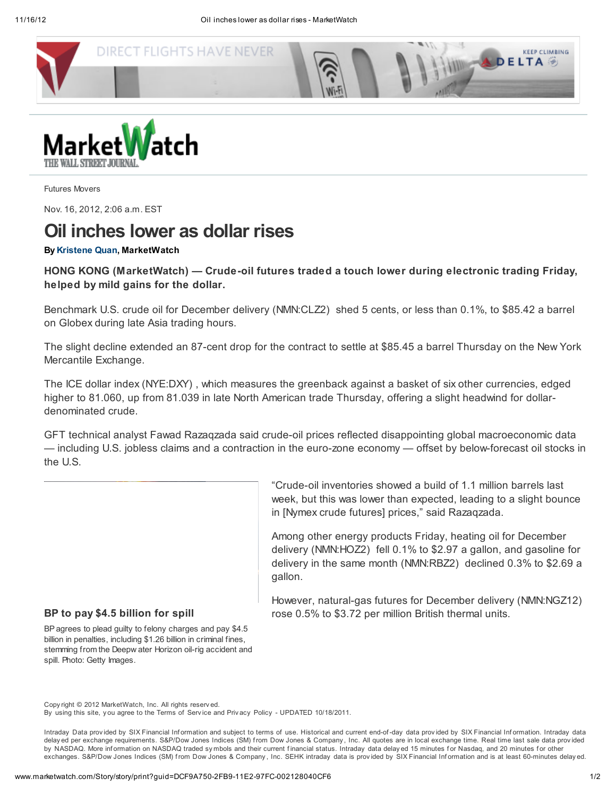



Futures Movers

Nov. 16, 2012, 2:06 a.m. EST

## Oil inches lower as dollar rises

## By [Kristene](mailto:kquan@marketwatch.com) Quan, MarketWatch

HONG KONG (MarketWatch) — Crude-oil futures traded a touch lower during electronic trading Friday, helped by mild gains for the dollar.

Benchmark U.S. crude oil for December delivery (NMN:CLZ2) shed 5 cents, or less than 0.1%, to \$85.42 a barrel on Globex during late Asia trading hours.

The slight decline extended an 87-cent drop for the contract to settle at \$85.45 a barrel Thursday on the New York Mercantile Exchange.

The ICE dollar index (NYE:DXY) , which measures the greenback against a basket of six other currencies, edged higher to 81.060, up from 81.039 in late North American trade Thursday, offering a slight headwind for dollardenominated crude.

GFT technical analyst Fawad Razaqzada said crude-oil prices reflected disappointing global macroeconomic data — including U.S. jobless claims and a contraction in the euro-zone economy — offset by below-forecast oil stocks in the U.S.

> "Crude-oil inventories showed a build of 1.1 million barrels last week, but this was lower than expected, leading to a slight bounce in [Nymex crude futures] prices," said Razaqzada.

> Among other energy products Friday, heating oil for December delivery (NMN:HOZ2) fell 0.1% to \$2.97 a gallon, and gasoline for delivery in the same month (NMN:RBZ2) declined 0.3% to \$2.69 a gallon.

> However, natural-gas futures for December delivery (NMN:NGZ12) rose 0.5% to \$3.72 per million British thermal units.

## BP to pay \$4.5 billion for spill

BPagrees to plead guilty to felony charges and pay \$4.5 billion in penalties, including \$1.26 billion in criminal fines, stemming from the Deepw ater Horizon oil-rig accident and spill. Photo: Getty Images.

Copy right © 2012 MarketWatch, Inc. All rights reserv ed.

By using this site, y ou agree to the [Terms](http://www.marketwatch.com/support/disclaimer.asp) of Serv ice and Priv acy Policy - UPDATED [10/18/2011](http://www.marketwatch.com/support/privacy.asp).

Intraday Data provided by SIX Financial Information and subject to [terms](http://www.marketwatch.com/investing/terms-of-use) of use. Historical and current end-of-day data provided by SIX Financial Information. Intraday data delay ed per exchange requirements. S&P/Dow Jones Indices (SM) f rom Dow Jones & Company , Inc. All quotes are in local exchange time. Real time last sale data prov ided by [NASDAQ](http://www.nasdaq.com/services/DelDefOpenReport.pdf). More information on NASDAQ traded symbols and their current financial status. Intraday data delay ed 15 minutes for Nasdaq, and 20 minutes for other exchanges. S&P/Dow Jones Indices (SM) from Dow Jones & Company, Inc. SEHK intraday data is provided by SIX Financial Information and is at least 60-minutes delay ed.